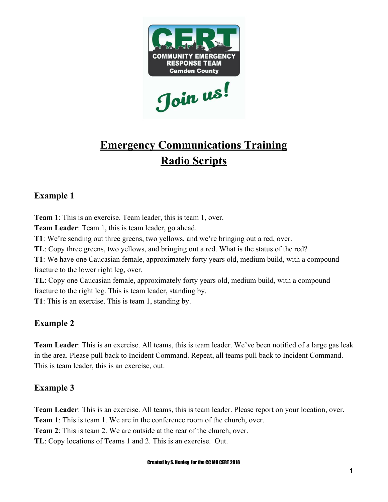

# **Emergency Communications Training Radio Scripts**

## **Example 1**

**Team 1**: This is an exercise. Team leader, this is team 1, over. **Team Leader**: Team 1, this is team leader, go ahead. **T1**: We're sending out three greens, two yellows, and we're bringing out a red, over. **TL**: Copy three greens, two yellows, and bringing out a red. What is the status of the red? **T1**: We have one Caucasian female, approximately forty years old, medium build, with a compound fracture to the lower right leg, over. **TL**: Copy one Caucasian female, approximately forty years old, medium build, with a compound

fracture to the right leg. This is team leader, standing by.

**T1**: This is an exercise. This is team 1, standing by.

## **Example 2**

**Team Leader**: This is an exercise. All teams, this is team leader. We've been notified of a large gas leak in the area. Please pull back to Incident Command. Repeat, all teams pull back to Incident Command. This is team leader, this is an exercise, out.

## **Example 3**

**Team Leader**: This is an exercise. All teams, this is team leader. Please report on your location, over. **Team 1**: This is team 1. We are in the conference room of the church, over. **Team 2**: This is team 2. We are outside at the rear of the church, over. **TL**: Copy locations of Teams 1 and 2. This is an exercise. Out.